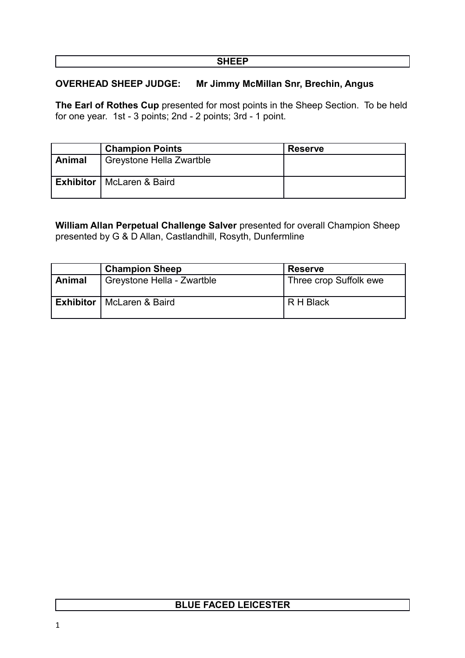#### **SHEEP**

#### **OVERHEAD SHEEP JUDGE: Mr Jimmy McMillan Snr, Brechin, Angus**

**The Earl of Rothes Cup** presented for most points in the Sheep Section. To be held for one year. 1st - 3 points; 2nd - 2 points; 3rd - 1 point.

|        | <b>Champion Points</b>             | <b>Reserve</b> |
|--------|------------------------------------|----------------|
| Animal | Greystone Hella Zwartble           |                |
|        | <b>Exhibitor</b>   McLaren & Baird |                |

**William Allan Perpetual Challenge Salver** presented for overall Champion Sheep presented by G & D Allan, Castlandhill, Rosyth, Dunfermline

|        | <b>Champion Sheep</b>              | <b>Reserve</b>         |
|--------|------------------------------------|------------------------|
| Animal | Greystone Hella - Zwartble         | Three crop Suffolk ewe |
|        | <b>Exhibitor</b>   McLaren & Baird | R H Black              |

## **BLUE FACED LEICESTER**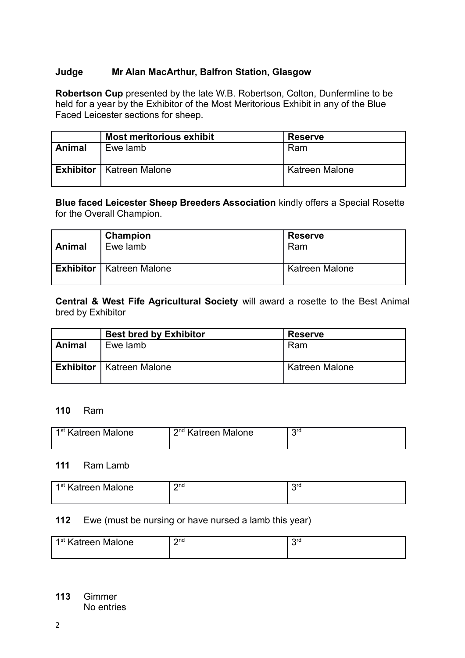#### **Judge Mr Alan MacArthur, Balfron Station, Glasgow**

**Robertson Cup** presented by the late W.B. Robertson, Colton, Dunfermline to be held for a year by the Exhibitor of the Most Meritorious Exhibit in any of the Blue Faced Leicester sections for sheep.

|        | <b>Most meritorious exhibit</b>   | <b>Reserve</b> |
|--------|-----------------------------------|----------------|
| Animal | Ewe lamb                          | Ram            |
|        | <b>Exhibitor</b>   Katreen Malone | Katreen Malone |

**Blue faced Leicester Sheep Breeders Association** kindly offers a Special Rosette for the Overall Champion.

|        | <b>Champion</b>                   | <b>Reserve</b> |
|--------|-----------------------------------|----------------|
| Animal | Ewe lamb                          | Ram            |
|        | <b>Exhibitor</b>   Katreen Malone | Katreen Malone |

**Central & West Fife Agricultural Society** will award a rosette to the Best Animal bred by Exhibitor

|        | <b>Best bred by Exhibitor</b>     | <b>Reserve</b> |
|--------|-----------------------------------|----------------|
| Animal | Ewe lamb                          | Ram            |
|        | <b>Exhibitor</b>   Katreen Malone | Katreen Malone |

#### **110** Ram

| 1 <sup>st</sup> Katreen Malone | 2 <sup>nd</sup> Katreen Malone | ord |
|--------------------------------|--------------------------------|-----|
|                                |                                |     |

#### **111** Ram Lamb

| 1st Katreen<br>Malone | 2n <sub>d</sub><br>- | Oro |
|-----------------------|----------------------|-----|
|                       |                      |     |

#### **112** Ewe (must be nursing or have nursed a lamb this year)

| 1 <sup>st</sup> Katreen Malone | 2n <sub>d</sub><br>- | ord<br>ъ. |
|--------------------------------|----------------------|-----------|

**113** Gimmer No entries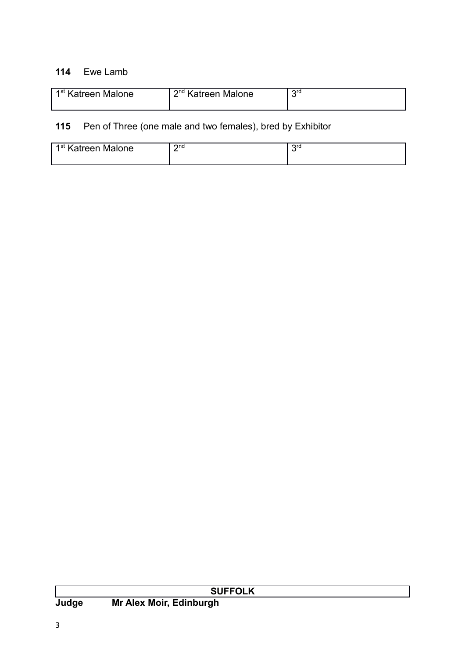#### **114** Ewe Lamb

| 1 <sup>st</sup> Katreen Malone | 2 <sup>nd</sup> Katreen Malone | ord |
|--------------------------------|--------------------------------|-----|
|                                |                                |     |

# **115** Pen of Three (one male and two females), bred by Exhibitor

| 1st<br>Ma<br>∖atreen<br>alone | $\mathsf{C}$ nd<br>- | orc |
|-------------------------------|----------------------|-----|
|                               |                      |     |

|       | <b>SUFFOLK</b>          |
|-------|-------------------------|
| Judge | Mr Alex Moir, Edinburgh |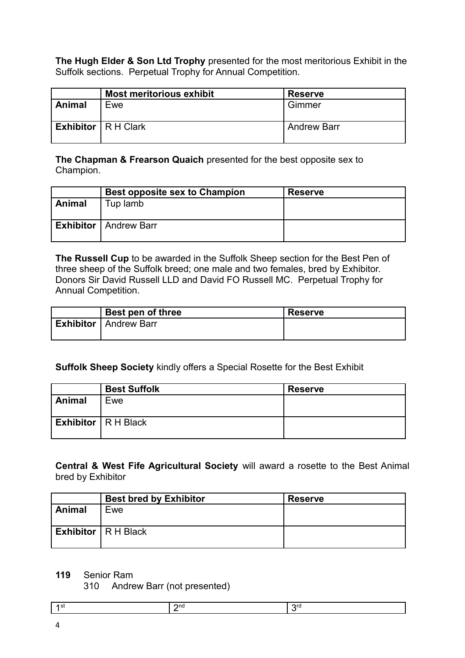**The Hugh Elder & Son Ltd Trophy** presented for the most meritorious Exhibit in the Suffolk sections. Perpetual Trophy for Annual Competition.

|        | <b>Most meritorious exhibit</b>    | <b>Reserve</b>     |
|--------|------------------------------------|--------------------|
| Animal | Ewe                                | Gimmer             |
|        | <b>Exhibitor</b> $\vert$ R H Clark | <b>Andrew Barr</b> |

**The Chapman & Frearson Quaich** presented for the best opposite sex to Champion.

|        | Best opposite sex to Champion  | <b>Reserve</b> |
|--------|--------------------------------|----------------|
| Animal | Tup lamb                       |                |
|        | <b>Exhibitor</b>   Andrew Barr |                |

**The Russell Cup** to be awarded in the Suffolk Sheep section for the Best Pen of three sheep of the Suffolk breed; one male and two females, bred by Exhibitor. Donors Sir David Russell LLD and David FO Russell MC. Perpetual Trophy for Annual Competition.

| Best pen of three              | <b>Reserve</b> |
|--------------------------------|----------------|
| <b>Exhibitor</b>   Andrew Barr |                |

#### **Suffolk Sheep Society** kindly offers a Special Rosette for the Best Exhibit

|        | <b>Best Suffolk</b>                | <b>Reserve</b> |
|--------|------------------------------------|----------------|
| Animal | Ewe                                |                |
|        | <b>Exhibitor</b> $\vert$ R H Black |                |

**Central & West Fife Agricultural Society** will award a rosette to the Best Animal bred by Exhibitor

|               | <b>Best bred by Exhibitor</b>      | <b>Reserve</b> |
|---------------|------------------------------------|----------------|
| <b>Animal</b> | Ewe                                |                |
|               |                                    |                |
|               | <b>Exhibitor</b> $\vert$ R H Black |                |
|               |                                    |                |

#### **119** Senior Ram

310 Andrew Barr (not presented)

| $\mathsf{on}$<br>. . |  |
|----------------------|--|
|----------------------|--|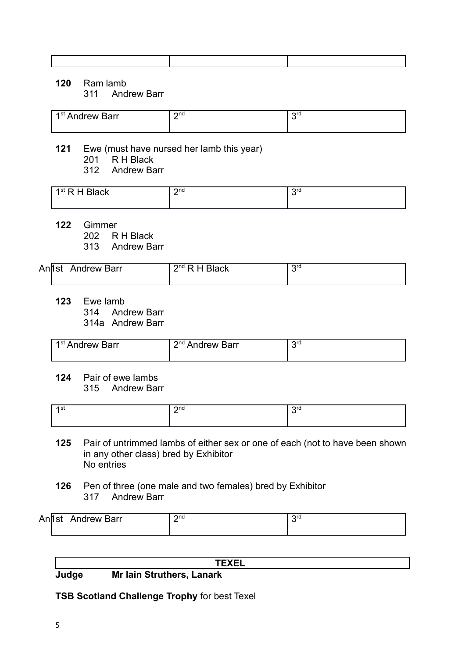#### **120** Ram lamb

311 Andrew Barr

| 1 <sup>st</sup> Andrew Barr | วnd<br>- | orc |
|-----------------------------|----------|-----|
|                             |          |     |

#### **121** Ewe (must have nursed her lamb this year)

- 201 R H Black
	- 312 Andrew Barr

| ⊿ et<br>$\overline{\phantom{a}}$<br>ласк<br>י בו יינ<br>-<br>_ ._. _ | $\mathsf{\Omega}^{\mathsf{nd}}$<br>- | ord |
|----------------------------------------------------------------------|--------------------------------------|-----|
|                                                                      |                                      |     |

**122** Gimmer

202 R H Black

313 Andrew Barr

| Anh<br>.st | Andrew Barr | ່ <b>o</b> nd ∟<br>'lack<br>- | ∩r∩ |
|------------|-------------|-------------------------------|-----|
|            |             |                               |     |

**123** Ewe lamb 314 Andrew Barr

314a Andrew Barr

| , 1 <sup>st</sup> Andrew Barr | 1 2 <sup>nd</sup> Andrew Barr | ord |
|-------------------------------|-------------------------------|-----|
|                               |                               |     |

**124** Pair of ewe lambs 315 Andrew Barr

| 2n <sub>d</sub> | orc |
|-----------------|-----|
|                 |     |

- **125** Pair of untrimmed lambs of either sex or one of each (not to have been shown in any other class) bred by Exhibitor No entries
- **126** Pen of three (one male and two females) bred by Exhibitor 317 Andrew Barr

| An' | Barr<br>.<br>Andrew<br>ວເ | $\mathsf{C}$ nd | $\Omega$ rd |
|-----|---------------------------|-----------------|-------------|
|     |                           |                 |             |

#### **TEXEL**

**Judge Mr Iain Struthers, Lanark** 

**TSB Scotland Challenge Trophy** for best Texel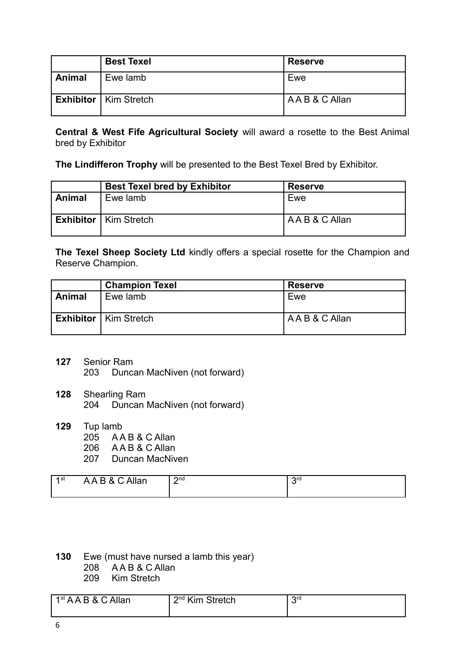|        | <b>Best Texel</b>              | <b>Reserve</b>  |
|--------|--------------------------------|-----------------|
| Animal | Ewe lamb                       | Ewe             |
|        | <b>Exhibitor</b>   Kim Stretch | A A B & C Allan |

**Central & West Fife Agricultural Society** will award a rosette to the Best Animal bred by Exhibitor

**The Lindifferon Trophy** will be presented to the Best Texel Bred by Exhibitor.

|        | <b>Best Texel bred by Exhibitor</b> | <b>Reserve</b> |
|--------|-------------------------------------|----------------|
| Animal | Ewe lamb                            | Ewe            |
|        | <b>Exhibitor</b>   Kim Stretch      | AAB & C Allan  |

**The Texel Sheep Society Ltd** kindly offers a special rosette for the Champion and Reserve Champion.

|        | <b>Champion Texel</b>          | <b>Reserve</b> |
|--------|--------------------------------|----------------|
| Animal | Ewe lamb                       | Ewe            |
|        | <b>Exhibitor</b>   Kim Stretch | AAB & C Allan  |

- **127** Senior Ram 203 Duncan MacNiven (not forward)
- **128** Shearling Ram 204 Duncan MacNiven (not forward)
- **129** Tup lamb 205 A A B & C Allan 206 A A B & C Allan 207 Duncan MacNiven

| P & C Allan<br>1st<br>AAB | $2n$ d<br>- | Oro |
|---------------------------|-------------|-----|
|---------------------------|-------------|-----|

- **130** Ewe (must have nursed a lamb this year) 208 AAB&C Allan
	- 209 Kim Stretch
- $1<sup>st</sup> A A B & C$  Allan 2 2<sup>nd</sup> Kim Stretch  $3<sup>rd</sup>$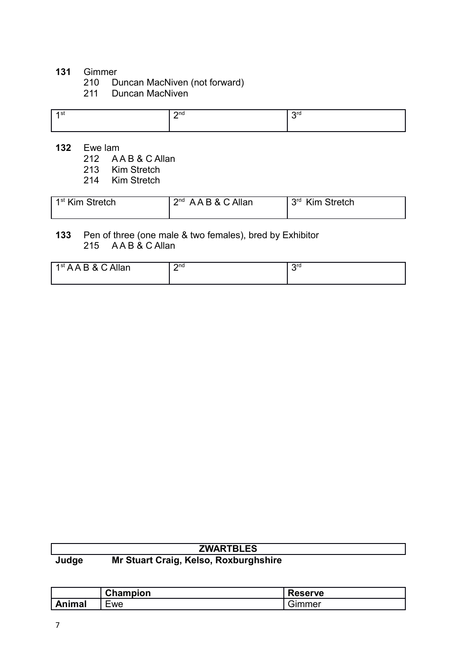# **131** Gimmer

- 210 Duncan MacNiven (not forward)
- 211 Duncan MacNiven

| $\sim$<br>$\cdot$ | $\mathbf{\Omega}$ | ጣር |
|-------------------|-------------------|----|
|                   | -                 |    |
|                   |                   |    |
|                   |                   |    |

- **132** Ewe lam
	- 212 A A B & C Allan
	- 213 Kim Stretch<br>214 Kim Stretch
	- Kim Stretch

| 1 <sup>st</sup> Kim Stretch | $2nd$ AAB & C Allan | <b>Qrd</b><br><b>Kim Stretch</b> |
|-----------------------------|---------------------|----------------------------------|
|                             |                     |                                  |

### **133** Pen of three (one male & two females), bred by Exhibitor 215  $AAB & C$  Allan

| <b>B&amp;CAllan</b> | $2n$ d   | 2rd |
|---------------------|----------|-----|
| 1 <sup>st</sup> AA  | <u>_</u> |     |
|                     |          |     |

| <b>ZWARTBLES</b> |                                       |  |
|------------------|---------------------------------------|--|
| Judge            | Mr Stuart Craig, Kelso, Roxburghshire |  |

|        | <b>Champion</b> | $\Box$<br><b>Reserve</b> |
|--------|-----------------|--------------------------|
| ∖nimal | _<br>cwe        | ımmer<br>-               |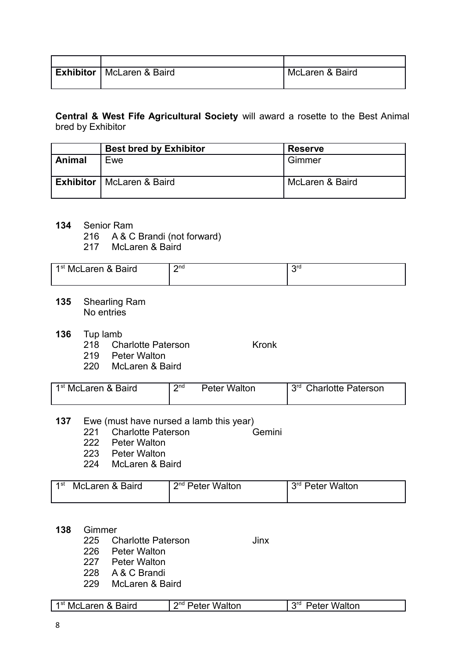| Exhibitor   McLaren & Baird | McLaren & Baird |
|-----------------------------|-----------------|

**Central & West Fife Agricultural Society** will award a rosette to the Best Animal bred by Exhibitor

|        | <b>Best bred by Exhibitor</b>      | <b>Reserve</b>  |
|--------|------------------------------------|-----------------|
| Animal | Ewe                                | Gimmer          |
|        | <b>Exhibitor</b>   McLaren & Baird | McLaren & Baird |

- **134** Senior Ram
	- 216 A & C Brandi (not forward)
	- 217 McLaren & Baird

| 1 <sup>st</sup> McLaren & Baird | $\mathsf{C}$ nd<br>- | Ord |
|---------------------------------|----------------------|-----|
|                                 |                      |     |

- **135** Shearling Ram No entries
- **136** Tup lamb
	- 218 Charlotte Paterson Kronk
	- 219 Peter Walton
	- 220 McLaren & Baird

| 1 <sup>st</sup> McLaren & Baird | $\mathsf{C}$ nd | Peter Walton | 3 <sup>rd</sup> Charlotte Paterson |
|---------------------------------|-----------------|--------------|------------------------------------|
|---------------------------------|-----------------|--------------|------------------------------------|

- **137** Ewe (must have nursed a lamb this year)
	- 221 Charlotte Paterson<br>222 Peter Walton
	- Peter Walton
	- 223 Peter Walton
	- 224 McLaren & Baird

| 1st | McLaren & Baird | 2 <sup>nd</sup> Peter Walton | 3 <sup>rd</sup> Peter Walton |
|-----|-----------------|------------------------------|------------------------------|
|     |                 |                              |                              |

#### **138** Gimmer

- 225 Charlotte Paterson Jinx
- 226 Peter Walton
- 227 Peter Walton
- 228 A & C Brandi
- 229 McLaren & Baird

| 3aird<br>.<br>างเ<br>IVI <sup>.</sup><br>r | onc<br>alton<br>.<br>. | ord<br>alton<br>. . |
|--------------------------------------------|------------------------|---------------------|
|--------------------------------------------|------------------------|---------------------|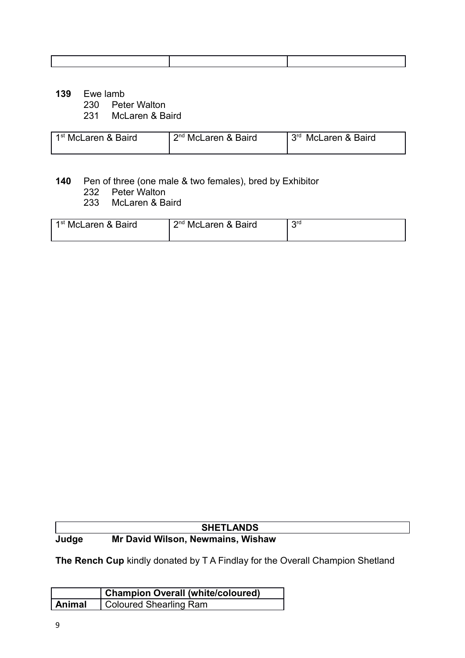- **139** Ewe lamb
	- 230 Peter Walton
	- 231 McLaren & Baird

| l 1 <sup>st</sup> McLaren & Baird | 2 <sup>nd</sup> McLaren & Baird | <b>Qrd</b><br>McLaren & Baird |
|-----------------------------------|---------------------------------|-------------------------------|
|                                   |                                 |                               |

#### **140** Pen of three (one male & two females), bred by Exhibitor

- 232 Peter Walton
- 233 McLaren & Baird

| 1 <sup>st</sup> McLaren & Baird | $2nd$ McLaren & Baird | ord |
|---------------------------------|-----------------------|-----|
|                                 |                       |     |

### **SHETLANDS Judge Mr David Wilson, Newmains, Wishaw**

**The Rench Cup** kindly donated by T A Findlay for the Overall Champion Shetland

|        | <b>Champion Overall (white/coloured)</b> |
|--------|------------------------------------------|
| Animal | Coloured Shearling Ram                   |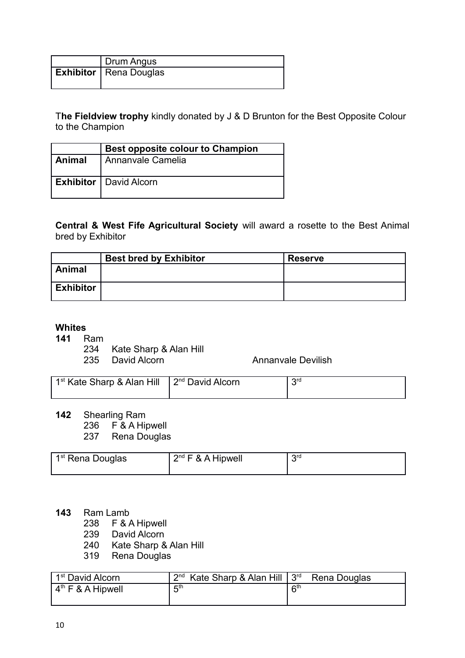| Drum Angus               |
|--------------------------|
| Exhibitor   Rena Douglas |

T**he Fieldview trophy** kindly donated by J & D Brunton for the Best Opposite Colour to the Champion

|        | <b>Best opposite colour to Champion</b> |
|--------|-----------------------------------------|
| Animal | Annanvale Camelia                       |
|        | <b>Exhibitor</b>   David Alcorn         |

**Central & West Fife Agricultural Society** will award a rosette to the Best Animal bred by Exhibitor

|                  | <b>Best bred by Exhibitor</b> | <b>Reserve</b> |
|------------------|-------------------------------|----------------|
| <b>Animal</b>    |                               |                |
| <b>Exhibitor</b> |                               |                |

#### **Whites**

**141** Ram

- 234 Kate Sharp & Alan Hill
- 235 David Alcorn **Annanvale Devilish**

| 1 <sup>st</sup> Kate Sharp & Alan Hill | $\vert$ 2 <sup>nd</sup> David Alcorn | ord |
|----------------------------------------|--------------------------------------|-----|
|----------------------------------------|--------------------------------------|-----|

- **142** Shearling Ram
	- 236 F & A Hipwell<br>237 Rena Douglas
	- Rena Douglas

| 1 <sup>st</sup> Rena Douglas | $2^{nd}$ F & A Hipwell | <b>Qrd</b> |
|------------------------------|------------------------|------------|
|                              |                        |            |

#### **143** Ram Lamb

- 238 F & A Hipwell
- 239 David Alcorn
- 240 Kate Sharp & Alan Hill
- 319 Rena Douglas

| 1 <sup>st</sup> David Alcorn | $2^{nd}$ Kate Sharp & Alan Hill $3^{rd}$ | Rena Douglas               |
|------------------------------|------------------------------------------|----------------------------|
| $4th$ F & A Hipwell          | 片                                        | $\mathsf{C}^{\mathsf{th}}$ |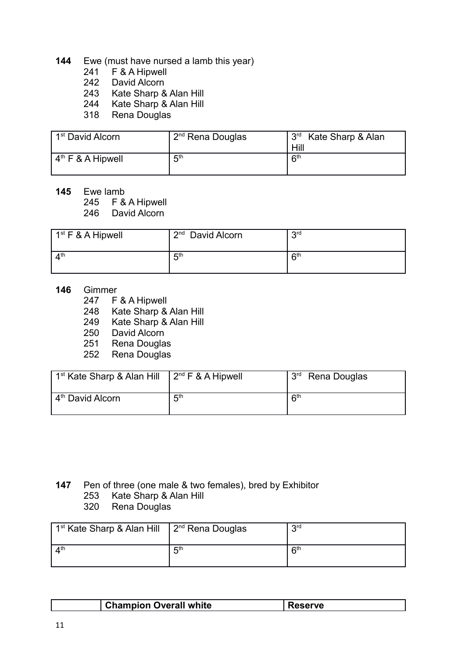- **144** Ewe (must have nursed a lamb this year)
	- 241 F & A Hipwell<br>242 David Alcorn
	- David Alcorn
	- 243 Kate Sharp & Alan Hill
	- 244 Kate Sharp & Alan Hill
	- 318 Rena Douglas

| 1 <sup>st</sup> David Alcorn | $2nd$ Rena Douglas | 3 <sup>rd</sup> Kate Sharp & Alan<br>Hill |
|------------------------------|--------------------|-------------------------------------------|
| $4th$ F & A Hipwell          | <b>д</b> th        | R <sup>th</sup>                           |

**145** Ewe lamb

245 F & A Hipwell

246 David Alcorn

| $1st$ F & A Hipwell     | $2nd$ David Alcorn | <b>2rd</b> |
|-------------------------|--------------------|------------|
| $\Lambda$ <sup>th</sup> | 片                  | $R^{th}$   |

- **146** Gimmer
	- 247 F & A Hipwell
	- 248 Kate Sharp & Alan Hill
	- 249 Kate Sharp & Alan Hill
	- 250 David Alcorn
	- 251 Rena Douglas
	- 252 Rena Douglas

| 1 <sup>st</sup> Kate Sharp & Alan Hill | $2nd$ F & A Hipwell | <b>PuC</b><br>Rena Douglas |
|----------------------------------------|---------------------|----------------------------|
| 4 <sup>th</sup> David Alcorn           | 5 <sup>th</sup>     | $R^{th}$                   |

- **147** Pen of three (one male & two females), bred by Exhibitor
	- 253 Kate Sharp & Alan Hill
	- 320 Rena Douglas

| 1 <sup>st</sup> Kate Sharp & Alan Hill | $\vert$ 2 <sup>nd</sup> Rena Douglas | 2rd             |
|----------------------------------------|--------------------------------------|-----------------|
| $\mathbf{\Lambda}^{\text{th}}$         | ら                                    | R <sup>th</sup> |

| <sup>t</sup> Champion Overall white | 2rve |
|-------------------------------------|------|
|                                     |      |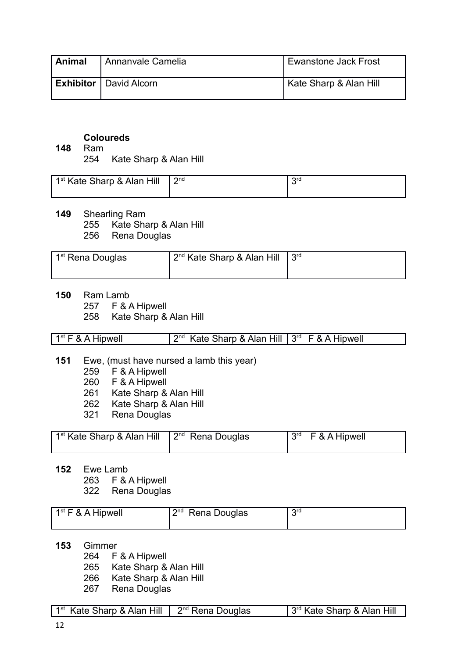| Animal | Annanvale Camelia               | <b>Ewanstone Jack Frost</b> |
|--------|---------------------------------|-----------------------------|
|        | <b>Exhibitor</b>   David Alcorn | Kate Sharp & Alan Hill      |

#### **Coloureds**

- **148** Ram
	- 254 Kate Sharp & Alan Hill

| 1 <sup>st</sup> Kate Sharp & Alan Hill | ∩ת∩<br>- | ord |
|----------------------------------------|----------|-----|
|----------------------------------------|----------|-----|

- **149** Shearling Ram
	- 255 Kate Sharp & Alan Hill
	- 256 Rena Douglas

| 1 <sup>st</sup> Rena Douglas | $2^{nd}$ Kate Sharp & Alan Hill | $\mid$ $3^{\text{rd}}$ |
|------------------------------|---------------------------------|------------------------|
|------------------------------|---------------------------------|------------------------|

- **150** Ram Lamb
	- 257 F & A Hipwell
	- 258 Kate Sharp & Alan Hill

- **151** Ewe, (must have nursed a lamb this year)
	- 259 F & A Hipwell
	- 260 F & A Hipwell
	- 261 Kate Sharp & Alan Hill
	- 262 Kate Sharp & Alan Hill
	- 321 Rena Douglas

| $\mid$ 1 <sup>st</sup> Kate Sharp & Alan Hill $\mid$ 2 <sup>nd</sup> Rena Douglas |  | $3^{rd}$ F & A Hipwell |
|-----------------------------------------------------------------------------------|--|------------------------|
|                                                                                   |  |                        |

- **152** Ewe Lamb
	- 263 F & A Hipwell

322 Rena Douglas

| $1st$ F & A Hipwell | $2nd$ Rena Douglas | <b>Qrd</b> |  |
|---------------------|--------------------|------------|--|
|---------------------|--------------------|------------|--|

- **153** Gimmer
	- 264 F & A Hipwell
	- 265 Kate Sharp & Alan Hill
	- 266 Kate Sharp & Alan Hill
	- 267 Rena Douglas

| $1st$ Kate Sharp & Alan Hill $\parallel 2nd$ Rena Douglas | 3rd Kate Sharp & Alan Hill |
|-----------------------------------------------------------|----------------------------|
|-----------------------------------------------------------|----------------------------|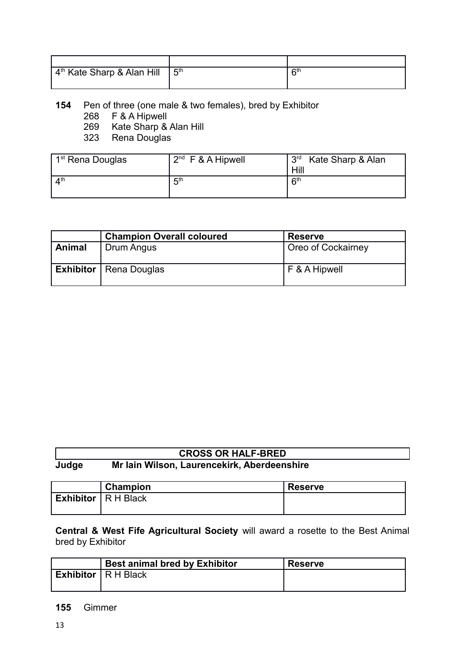| l <sup>4th</sup> Kate Sharp & Alan Hill | <b>д</b> <sup>th</sup> | cth |
|-----------------------------------------|------------------------|-----|
|                                         |                        |     |

#### **154** Pen of three (one male & two females), bred by Exhibitor

- 268 F & A Hipwell
- 269 Kate Sharp & Alan Hill<br>323 Rena Douglas
- Rena Douglas

| . 1 <sup>st</sup> Rena Douglas | $2^{nd}$ F & A Hipwell | 3 <sup>rd</sup><br>Kate Sharp & Alan |
|--------------------------------|------------------------|--------------------------------------|
|                                |                        | Hill                                 |
| $\mathbf{\Lambda}^{\text{th}}$ | 5 <sup>th</sup>        | 6 <sup>th</sup>                      |
|                                |                        |                                      |

|        | <b>Champion Overall coloured</b> | <b>Reserve</b>     |
|--------|----------------------------------|--------------------|
| Animal | Drum Angus                       | Oreo of Cockairney |
|        | <b>Exhibitor</b>   Rena Douglas  | F & A Hipwell      |

|       | <b>CROSS OR HALF-BRED</b>                   |  |
|-------|---------------------------------------------|--|
| Judge | Mr Iain Wilson, Laurencekirk, Aberdeenshire |  |

| <b>Champion</b> | <b>Reserve</b>               |
|-----------------|------------------------------|
|                 |                              |
|                 | <b>Exhibitor</b>   R H Black |

**Central & West Fife Agricultural Society** will award a rosette to the Best Animal bred by Exhibitor

| <b>Best animal bred by Exhibitor</b> | <b>Reserve</b> |
|--------------------------------------|----------------|
| <b>Exhibitor</b> $\vert$ R H Black   |                |

#### **155** Gimmer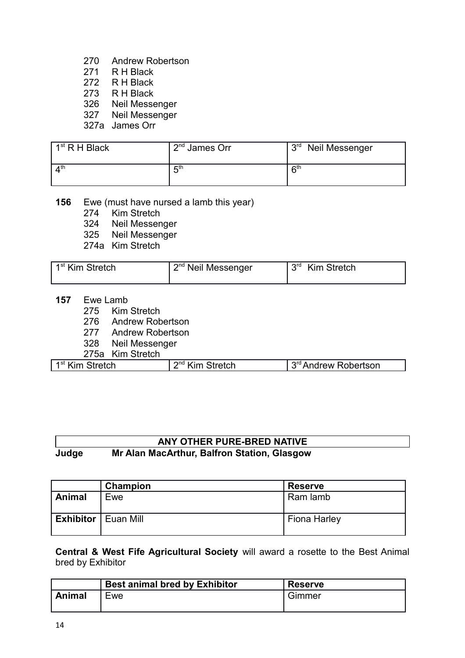- 270 Andrew Robertson
- 271 RH Black<br>272 R H Black
- R H Black
- 273 R H Black
- 326 Neil Messenger
- 327 Neil Messenger
- 327a James Orr

| $1st$ R H Black | $2nd$ James Orr | 3 <sup>rd</sup> Neil Messenger |
|-----------------|-----------------|--------------------------------|
| $\Lambda$ th    | 5 <sup>th</sup> | <b>Rth</b>                     |

- **156** Ewe (must have nursed a lamb this year)
	- 274 Kim Stretch
	- 324 Neil Messenger
	- 325 Neil Messenger
	- 274a Kim Stretch

| 1 <sup>st</sup> Kim Stretch | 2 <sup>nd</sup> Neil Messenger | l 3 <sup>rd</sup> Kim Stretch |
|-----------------------------|--------------------------------|-------------------------------|
|-----------------------------|--------------------------------|-------------------------------|

- **157** Ewe Lamb
	- 275 Kim Stretch
	- 276 Andrew Robertson
	- 277 Andrew Robertson
	- 328 Neil Messenger
	- 275a Kim Stretch

| 1 <sup>st</sup> Kim Stretch | <sup>2<sup>nd</sup> Kim Stretch</sup> | 3 <sup>rd</sup> Andrew Robertson |
|-----------------------------|---------------------------------------|----------------------------------|
|                             |                                       |                                  |

#### **ANY OTHER PURE-BRED NATIVE Judge Mr Alan MacArthur, Balfron Station, Glasgow**

|                              | Champion | <b>Reserve</b>      |
|------------------------------|----------|---------------------|
| <b>Animal</b>                | Ewe      | Ram lamb            |
| <b>Exhibitor</b>   Euan Mill |          | <b>Fiona Harley</b> |

**Central & West Fife Agricultural Society** will award a rosette to the Best Animal bred by Exhibitor

|        | <b>Best animal bred by Exhibitor</b> | <b>Reserve</b> |
|--------|--------------------------------------|----------------|
| Animal | <b>Lwe</b>                           | Gimmer         |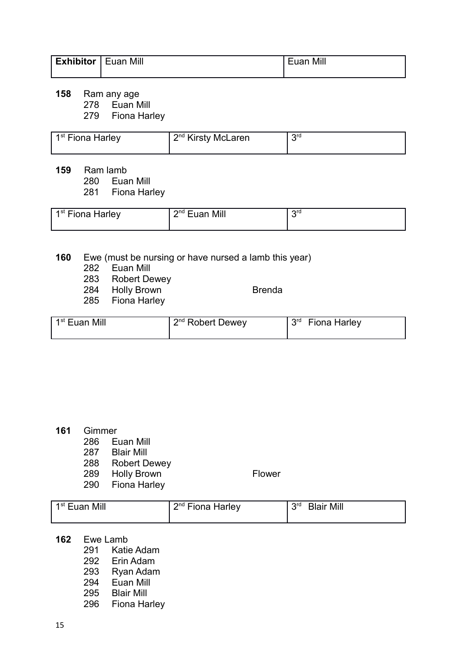| <b>Exhibitor</b> | l Euan Mill | Mill<br><b>HUAD</b> |
|------------------|-------------|---------------------|
|                  |             |                     |

Ram any age

Euan Mill

Fiona Harley

| 1 <sup>st</sup> Fiona Harley | 2 <sup>nd</sup> Kirsty McLaren | <b>Qrd</b> |
|------------------------------|--------------------------------|------------|
|                              |                                |            |

Ram lamb

Euan Mill

Fiona Harley

| 1 <sup>st</sup> Fiona Harley | $2nd$ Fuan<br>Mill | Ora |
|------------------------------|--------------------|-----|
|                              |                    |     |

#### Ewe (must be nursing or have nursed a lamb this year)

- Euan Mill
	- Robert Dewey
	- 284 Holly Brown Brenda
	- Fiona Harley

|  | Brenga |  |
|--|--------|--|
|  |        |  |

| 1 <sup>st</sup> Euan Mill | 2 <sup>nd</sup> Robert Dewey | <b>Qrd</b><br><b>Fiona Harley</b> |
|---------------------------|------------------------------|-----------------------------------|
|---------------------------|------------------------------|-----------------------------------|

#### Gimmer

- Euan Mill
- Blair Mill
- Robert Dewey
- 289 Holly Brown Flower
- Fiona Harley

- 1<sup>st</sup> Euan Mill  $\vert$  2 2<sup>nd</sup> Fiona Harley 3<sup>rd</sup> Blair Mill
- Ewe Lamb
	- Katie Adam
	- Erin Adam
	- Ryan Adam
	- Euan Mill
	- Blair Mill
	- Fiona Harley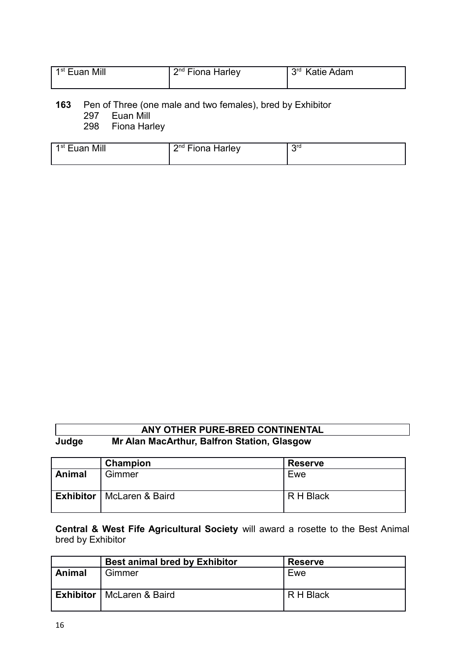| 1 <sup>st</sup> Euan Mill | $2nd$ Fiona Harley | $\perp$ 3 <sup>rd</sup> Katie Adam |
|---------------------------|--------------------|------------------------------------|
|                           |                    |                                    |

# **163** Pen of Three (one male and two females), bred by Exhibitor

297 Euan Mill Fiona Harley

| Mill<br>1 <sup>st</sup> Fuan | 2nq<br>--<br>Harley<br><b>Fiona</b> | ord |
|------------------------------|-------------------------------------|-----|
|                              |                                     |     |

#### **ANY OTHER PURE-BRED CONTINENTAL Judge Mr Alan MacArthur, Balfron Station, Glasgow**

|        | Champion                           | <b>Reserve</b> |
|--------|------------------------------------|----------------|
| Animal | Gimmer                             | Ewe            |
|        | <b>Exhibitor</b>   McLaren & Baird | R H Black      |

**Central & West Fife Agricultural Society** will award a rosette to the Best Animal bred by Exhibitor

|        | <b>Best animal bred by Exhibitor</b> | <b>Reserve</b> |
|--------|--------------------------------------|----------------|
| Animal | Gimmer                               | Ewe            |
|        | <b>Exhibitor</b>   McLaren & Baird   | R H Black      |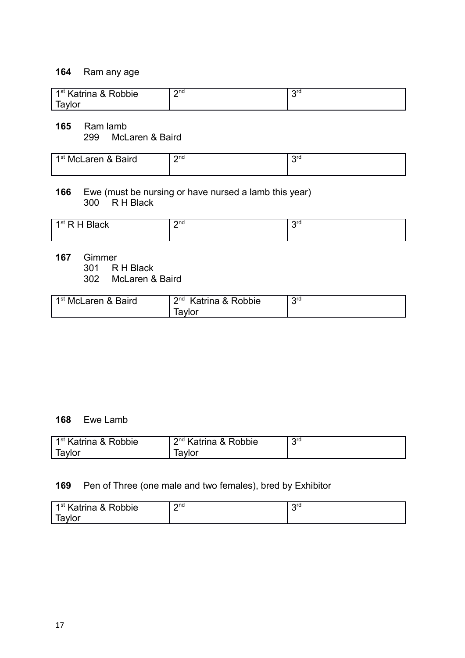#### **164** Ram any age

| 1 <sup>st</sup> Katrina & Robbie | วnd<br>- | Org |
|----------------------------------|----------|-----|
| iavlor                           |          |     |

**165** Ram lamb 299 McLaren & Baird

| 1 <sup>st</sup> McLaren & Baird | $\mathsf{C}$ nd<br>- | $\Omega$ rd |
|---------------------------------|----------------------|-------------|
|---------------------------------|----------------------|-------------|

#### **166** Ewe (must be nursing or have nursed a lamb this year) 300 R H Black

| 1st R<br>ack | $\Omega$ nd<br>-<br>_ | $\mathsf{C}$ rd<br>ີ |
|--------------|-----------------------|----------------------|
|              |                       |                      |

**167** Gimmer 301 R H Black

302 McLaren & Baird

| 1st<br><sup>⊦</sup> McLaren & Baird | $\mathsf{C}$ nd<br>Katrina & Robbie | ord |
|-------------------------------------|-------------------------------------|-----|
|                                     | Tavlor                              |     |

#### **168** Ewe Lamb

| 1 <sup>st</sup> Katrina & Robbie | 2 <sup>nd</sup> Katrina & Robbie | <b>2rd</b> |
|----------------------------------|----------------------------------|------------|
| Tavlor                           | iavlor                           |            |

#### **169** Pen of Three (one male and two females), bred by Exhibitor

| obbie<br>1st<br>≦atrina &<br>_<br>K | $2n$ d<br>_ | ord<br>∼ |
|-------------------------------------|-------------|----------|
| .vlor<br>.a.                        |             |          |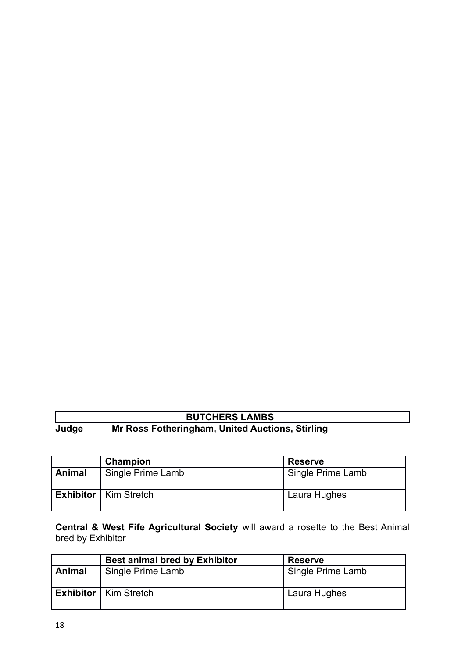# **BUTCHERS LAMBS**

**Judge Mr Ross Fotheringham, United Auctions, Stirling**

|               | Champion                       | <b>Reserve</b>    |
|---------------|--------------------------------|-------------------|
| <b>Animal</b> | Single Prime Lamb              | Single Prime Lamb |
|               | <b>Exhibitor</b>   Kim Stretch | Laura Hughes      |

**Central & West Fife Agricultural Society** will award a rosette to the Best Animal bred by Exhibitor

|        | <b>Best animal bred by Exhibitor</b> | <b>Reserve</b>    |
|--------|--------------------------------------|-------------------|
| Animal | Single Prime Lamb                    | Single Prime Lamb |
|        | <b>Exhibitor</b>   Kim Stretch       | Laura Hughes      |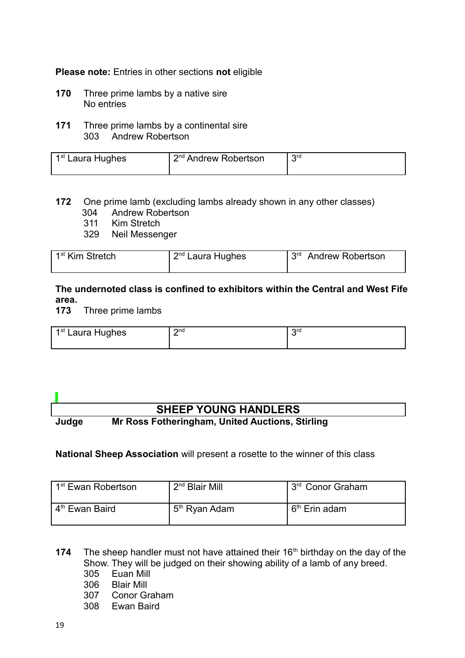**Please note:** Entries in other sections **not** eligible

- **170** Three prime lambs by a native sire No entries
- **171** Three prime lambs by a continental sire 303 Andrew Robertson

| 1 <sup>st</sup> Laura Hughes | 2 <sup>nd</sup> Andrew Robertson | <b>Qrd</b> |
|------------------------------|----------------------------------|------------|
|                              |                                  |            |

#### **172** One prime lamb (excluding lambs already shown in any other classes) 304 Andrew Robertson

- 311 Kim Stretch
- 329 Neil Messenger

| 1 <sup>st</sup> Kim Stretch | 2 <sup>nd</sup> Laura Hughes | 13 <sup>rd</sup> Andrew Robertson |
|-----------------------------|------------------------------|-----------------------------------|
|                             |                              |                                   |

#### **The undernoted class is confined to exhibitors within the Central and West Fife area.**

**173** Three prime lambs

| 1 <sup>st</sup> Laura Hughes | つnd | orc |
|------------------------------|-----|-----|
|                              |     |     |

# **SHEEP YOUNG HANDLERS Judge Mr Ross Fotheringham, United Auctions, Stirling**

#### **National Sheep Association** will present a rosette to the winner of this class

| . 1 <sup>st</sup> Ewan Robertson | $2nd$ Blair Mill          | . 3 <sup>rd</sup> Conor Graham |
|----------------------------------|---------------------------|--------------------------------|
| . 4 <sup>th</sup> Ewan Baird     | 5 <sup>th</sup> Ryan Adam | ∟6 <sup>th</sup> Erin adam     |

- **174** The sheep handler must not have attained their 16<sup>th</sup> birthday on the day of the Show. They will be judged on their showing ability of a lamb of any breed.
	- 305 Euan Mill
	- 306 Blair Mill
	- 307 Conor Graham
	- 308 Ewan Baird